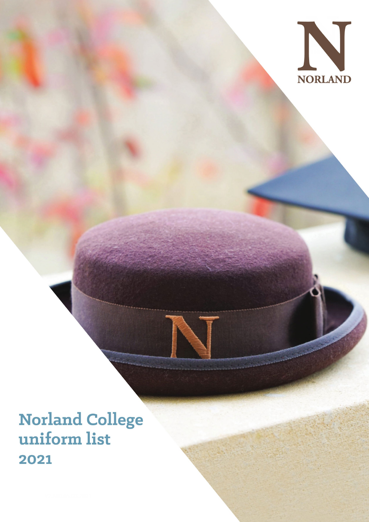

# **Norland College** uniform list 2021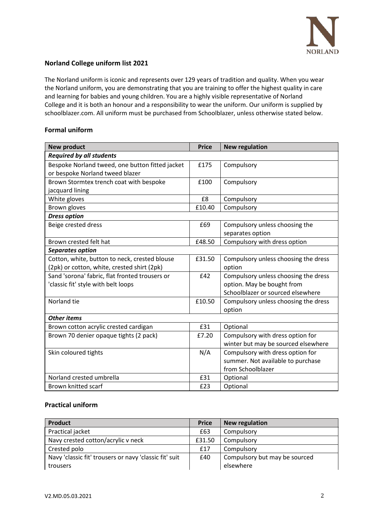

## **Norland College uniform list 2021**

The Norland uniform is iconic and represents over 129 years of tradition and quality. When you wear the Norland uniform, you are demonstrating that you are training to offer the highest quality in care and learning for babies and young children. You are a highly visible representative of Norland College and it is both an honour and a responsibility to wear the uniform. Our uniform is supplied by schoolblazer.com. All uniform must be purchased from Schoolblazer, unless otherwise stated below.

## **Formal uniform**

| <b>New product</b>                              | <b>Price</b> | <b>New regulation</b>                |  |  |
|-------------------------------------------------|--------------|--------------------------------------|--|--|
| <b>Required by all students</b>                 |              |                                      |  |  |
| Bespoke Norland tweed, one button fitted jacket | £175         | Compulsory                           |  |  |
| or bespoke Norland tweed blazer                 |              |                                      |  |  |
| Brown Stormtex trench coat with bespoke         | £100         | Compulsory                           |  |  |
| jacquard lining                                 |              |                                      |  |  |
| White gloves                                    | £8           | Compulsory                           |  |  |
| Brown gloves                                    | £10.40       | Compulsory                           |  |  |
| <b>Dress option</b>                             |              |                                      |  |  |
| Beige crested dress                             | £69          | Compulsory unless choosing the       |  |  |
|                                                 |              | separates option                     |  |  |
| Brown crested felt hat                          | £48.50       | Compulsory with dress option         |  |  |
| Separates option                                |              |                                      |  |  |
| Cotton, white, button to neck, crested blouse   | £31.50       | Compulsory unless choosing the dress |  |  |
| (2pk) or cotton, white, crested shirt (2pk)     |              | option                               |  |  |
| Sand 'sorona' fabric, flat fronted trousers or  | £42          | Compulsory unless choosing the dress |  |  |
| 'classic fit' style with belt loops             |              | option. May be bought from           |  |  |
|                                                 |              | Schoolblazer or sourced elsewhere    |  |  |
| Norland tie                                     | £10.50       | Compulsory unless choosing the dress |  |  |
|                                                 |              | option                               |  |  |
| <b>Other items</b>                              |              |                                      |  |  |
| Brown cotton acrylic crested cardigan           | £31          | Optional                             |  |  |
| Brown 70 denier opaque tights (2 pack)          | £7.20        | Compulsory with dress option for     |  |  |
|                                                 |              | winter but may be sourced elsewhere  |  |  |
| Skin coloured tights                            | N/A          | Compulsory with dress option for     |  |  |
|                                                 |              | summer. Not available to purchase    |  |  |
|                                                 |              | from Schoolblazer                    |  |  |
| Norland crested umbrella                        | £31          | Optional                             |  |  |
| Brown knitted scarf                             | £23          | Optional                             |  |  |

# **Practical uniform**

| <b>Product</b>                                         | <b>Price</b> | <b>New regulation</b>         |
|--------------------------------------------------------|--------------|-------------------------------|
| Practical jacket                                       | £63          | Compulsory                    |
| Navy crested cotton/acrylic v neck                     | £31.50       | Compulsory                    |
| Crested polo                                           | £17          | Compulsory                    |
| Navy 'classic fit' trousers or navy 'classic fit' suit | £40          | Compulsory but may be sourced |
| trousers                                               |              | elsewhere                     |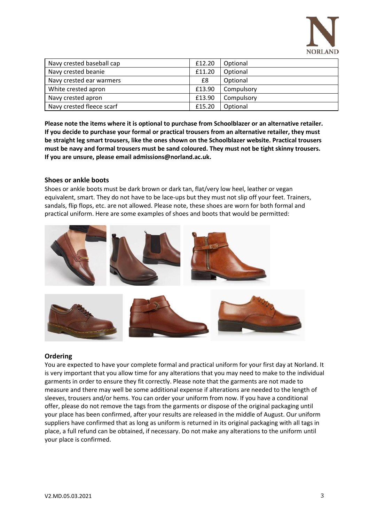

| Navy crested baseball cap | £12.20 | Optional   |
|---------------------------|--------|------------|
| Navy crested beanie       | £11.20 | Optional   |
| Navy crested ear warmers  | £8     | Optional   |
| White crested apron       | £13.90 | Compulsory |
| Navy crested apron        | £13.90 | Compulsory |
| Navy crested fleece scarf | £15.20 | Optional   |

**Please note the items where it is optional to purchase from Schoolblazer or an alternative retailer. If you decide to purchase your formal or practical trousers from an alternative retailer, they must be straight leg smart trousers, like the ones shown on the Schoolblazer website. Practical trousers must be navy and formal trousers must be sand coloured. They must not be tight skinny trousers. If you are unsure, please email admissions@norland.ac.uk.**

### **Shoes or ankle boots**

Shoes or ankle boots must be dark brown or dark tan, flat/very low heel, leather or vegan equivalent, smart. They do not have to be lace-ups but they must not slip off your feet. Trainers, sandals, flip flops, etc. are not allowed. Please note, these shoes are worn for both formal and practical uniform. Here are some examples of shoes and boots that would be permitted:



#### **Ordering**

You are expected to have your complete formal and practical uniform for your first day at Norland. It is very important that you allow time for any alterations that you may need to make to the individual garments in order to ensure they fit correctly. Please note that the garments are not made to measure and there may well be some additional expense if alterations are needed to the length of sleeves, trousers and/or hems. You can order your uniform from now. If you have a conditional offer, please do not remove the tags from the garments or dispose of the original packaging until your place has been confirmed, after your results are released in the middle of August. Our uniform suppliers have confirmed that as long as uniform is returned in its original packaging with all tags in place, a full refund can be obtained, if necessary. Do not make any alterations to the uniform until your place is confirmed.